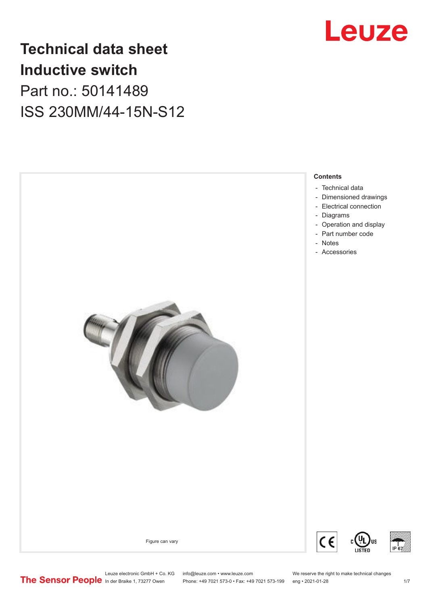

## **Technical data sheet Inductive switch** Part no.: 50141489 ISS 230MM/44-15N-S12





Leuze electronic GmbH + Co. KG info@leuze.com • www.leuze.com We reserve the right to make technical changes<br>
The Sensor People in der Braike 1, 73277 Owen Phone: +49 7021 573-0 • Fax: +49 7021 573-199 eng • 2021-01-28

Phone: +49 7021 573-0 • Fax: +49 7021 573-199 eng • 2021-01-28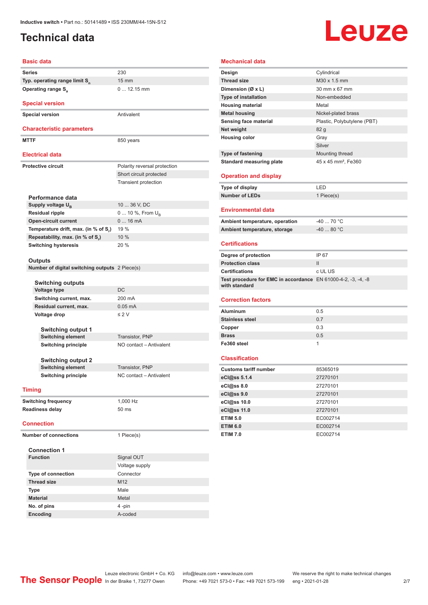### <span id="page-1-0"></span>**Technical data**

# **Leuze**

#### **Basic data**

| <b>Basic data</b>                               |                              |
|-------------------------------------------------|------------------------------|
| <b>Series</b>                                   | 230                          |
| Typ. operating range limit S <sub>n</sub>       | $15 \text{ mm}$              |
| <b>Operating range S</b> <sub>a</sub>           | $012.15$ mm                  |
| <b>Special version</b>                          |                              |
| <b>Special version</b>                          | Antivalent                   |
|                                                 |                              |
| <b>Characteristic parameters</b>                |                              |
| <b>MTTF</b>                                     | 850 years                    |
|                                                 |                              |
| <b>Electrical data</b>                          |                              |
| <b>Protective circuit</b>                       | Polarity reversal protection |
|                                                 | Short circuit protected      |
|                                                 | <b>Transient protection</b>  |
|                                                 |                              |
| Performance data                                |                              |
| Supply voltage U <sub>R</sub>                   | 10  36 V, DC                 |
| <b>Residual ripple</b>                          | 0  10 %, From $U_{\rm B}$    |
| <b>Open-circuit current</b>                     | 016mA                        |
| Temperature drift, max. (in % of S.)            | 19 %                         |
| Repeatability, max. (in % of S)                 | 10%                          |
| <b>Switching hysteresis</b>                     | 20%                          |
|                                                 |                              |
| Outputs                                         |                              |
| Number of digital switching outputs 2 Piece(s)  |                              |
|                                                 |                              |
| <b>Switching outputs</b><br><b>Voltage type</b> | DC                           |
| Switching current, max.                         | 200 mA                       |
| Residual current, max.                          | $0.05$ mA                    |
| Voltage drop                                    | $\leq 2$ V                   |
|                                                 |                              |
| <b>Switching output 1</b>                       |                              |
| <b>Switching element</b>                        | Transistor, PNP              |
| <b>Switching principle</b>                      | NO contact - Antivalent      |
|                                                 |                              |
| <b>Switching output 2</b>                       |                              |
| <b>Switching element</b>                        | Transistor, PNP              |
| <b>Switching principle</b>                      | NC contact - Antivalent      |
|                                                 |                              |
| <b>Timing</b>                                   |                              |
| <b>Switching frequency</b>                      | 1,000 Hz                     |
| Readiness delay                                 | 50 ms                        |
|                                                 |                              |
| <b>Connection</b>                               |                              |
| <b>Number of connections</b>                    | 1 Piece(s)                   |
|                                                 |                              |
| <b>Connection 1</b>                             |                              |
| <b>Function</b>                                 | Signal OUT                   |
|                                                 | Voltage supply               |
| <b>Type of connection</b>                       | Connector                    |
| <b>Thread size</b>                              | M <sub>12</sub>              |
| Type                                            | Male                         |
| <b>Material</b>                                 | Metal                        |
| No. of pins                                     | 4 -pin                       |

| <b>Mechanical data</b>                                                         |                                 |
|--------------------------------------------------------------------------------|---------------------------------|
| Design                                                                         | Cylindrical                     |
| <b>Thread size</b>                                                             | M30 x 1.5 mm                    |
| Dimension (Ø x L)                                                              | 30 mm x 67 mm                   |
| <b>Type of installation</b>                                                    | Non-embedded                    |
| <b>Housing material</b>                                                        | Metal                           |
| <b>Metal housing</b>                                                           | Nickel-plated brass             |
| <b>Sensing face material</b>                                                   | Plastic, Polybutylene (PBT)     |
| Net weight                                                                     | 82 <sub>g</sub>                 |
| <b>Housing color</b>                                                           | Gray                            |
|                                                                                | Silver                          |
| <b>Type of fastening</b>                                                       | Mounting thread                 |
| <b>Standard measuring plate</b>                                                | 45 x 45 mm <sup>2</sup> , Fe360 |
| <b>Operation and display</b>                                                   |                                 |
| Type of display                                                                | LED                             |
| <b>Number of LEDs</b>                                                          | 1 Piece(s)                      |
| <b>Environmental data</b>                                                      |                                 |
| Ambient temperature, operation                                                 | $-4070 °C$                      |
| Ambient temperature, storage                                                   | $-40$ 80 °C                     |
| <b>Certifications</b>                                                          |                                 |
| Degree of protection                                                           | IP 67                           |
| <b>Protection class</b>                                                        | $\mathsf{II}$                   |
| <b>Certifications</b>                                                          | c UL US                         |
| Test procedure for EMC in accordance EN 61000-4-2, -3, -4, -8<br>with standard |                                 |
| <b>Correction factors</b>                                                      |                                 |
| <b>Aluminum</b>                                                                | 0.5                             |
| <b>Stainless steel</b>                                                         | 0.7                             |
| Copper                                                                         | 0.3                             |
| <b>Brass</b>                                                                   | 0.5                             |
| Fe360 steel                                                                    | 1                               |
| <b>Classification</b>                                                          |                                 |
| <b>Customs tariff number</b>                                                   | 85365019                        |
| eCl@ss 5.1.4                                                                   | 27270101                        |
| eCl@ss 8.0                                                                     | 27270101                        |
| eCl@ss 9.0                                                                     | 27270101                        |
| eCl@ss 10.0                                                                    | 27270101                        |
| eCl@ss 11.0                                                                    | 27270101                        |
| <b>ETIM 5.0</b>                                                                | EC002714                        |
| <b>ETIM 6.0</b>                                                                | EC002714                        |
| <b>ETIM 7.0</b>                                                                | EC002714                        |
|                                                                                |                                 |

**Encoding** A-coded

Leuze electronic GmbH + Co. KG info@leuze.com • www.leuze.com We reserve the right to make technical changes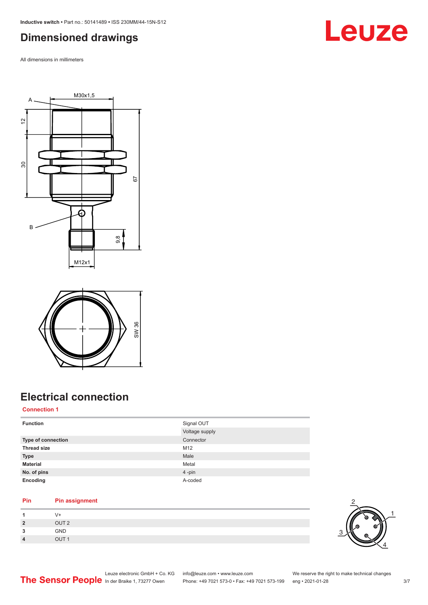### <span id="page-2-0"></span>**Dimensioned drawings**

All dimensions in millimeters







## **Electrical connection**

#### **Connection 1**

|                         | SW 36<br><b>Electrical connection</b>         |                                               |                                                |     |
|-------------------------|-----------------------------------------------|-----------------------------------------------|------------------------------------------------|-----|
| <b>Connection 1</b>     |                                               |                                               |                                                |     |
| <b>Function</b>         |                                               | Signal OUT                                    |                                                |     |
|                         |                                               | Voltage supply                                |                                                |     |
| Type of connection      |                                               | Connector                                     |                                                |     |
| <b>Thread size</b>      |                                               | M12                                           |                                                |     |
| <b>Type</b>             |                                               | Male                                          |                                                |     |
| <b>Material</b>         |                                               | Metal                                         |                                                |     |
| No. of pins             |                                               | 4-pin                                         |                                                |     |
| Encoding                |                                               | A-coded                                       |                                                |     |
| Pin                     | <b>Pin assignment</b>                         |                                               |                                                |     |
| $\mathbf{1}$            | $V +$                                         |                                               |                                                |     |
| $\overline{\mathbf{2}}$ | OUT <sub>2</sub>                              |                                               |                                                |     |
| 3                       | GND                                           |                                               |                                                |     |
| $\overline{4}$          | OUT <sub>1</sub>                              |                                               |                                                |     |
|                         | Leuze electronic GmbH + Co. KG                | info@leuze.com • www.leuze.com                | We reserve the right to make technical changes |     |
|                         | The Sensor People In der Braike 1, 73277 Owen | Phone: +49 7021 573-0 · Fax: +49 7021 573-199 | eng • 2021-01-28                               | 3/7 |

#### **Pin Pin assignment**

|                | V+               |
|----------------|------------------|
| $\overline{2}$ | OUT <sub>2</sub> |
| 3              | GND              |
| $\overline{4}$ | OUT <sub>1</sub> |

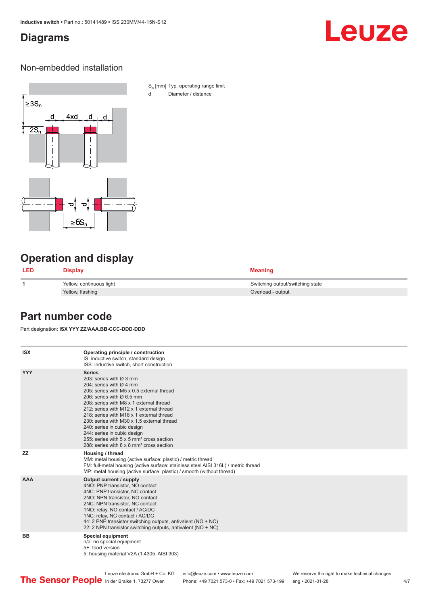#### <span id="page-3-0"></span>**Diagrams**

## Leuze

#### Non-embedded installation



S<sub>n</sub> [mm] Typ. operating range limit d Diameter / distance

### **Operation and display**

| <b>LED</b> | <b>Display</b>           | <b>Meaning</b>                   |
|------------|--------------------------|----------------------------------|
|            | Yellow, continuous light | Switching output/switching state |
|            | Yellow, flashing         | Overload - output                |

#### **Part number code**

Part designation: **ISX YYY ZZ/AAA.BB-CCC-DDD-DDD**

| <b>ISX</b> | Operating principle / construction<br>IS: inductive switch, standard design<br>ISS: inductive switch, short construction                                                                                                                                                                                                                                                                                                                                                                                                                         |
|------------|--------------------------------------------------------------------------------------------------------------------------------------------------------------------------------------------------------------------------------------------------------------------------------------------------------------------------------------------------------------------------------------------------------------------------------------------------------------------------------------------------------------------------------------------------|
| <b>YYY</b> | <b>Series</b><br>203: series with $\varnothing$ 3 mm<br>204: series with $\varnothing$ 4 mm<br>205: series with M5 x 0.5 external thread<br>206: series with $\varnothing$ 6.5 mm<br>208: series with M8 x 1 external thread<br>212: series with M12 x 1 external thread<br>218: series with M18 x 1 external thread<br>230: series with M30 x 1.5 external thread<br>240: series in cubic design<br>244: series in cubic design<br>255: series with 5 x 5 mm <sup>2</sup> cross section<br>288: series with 8 x 8 mm <sup>2</sup> cross section |
| <b>ZZ</b>  | Housing / thread<br>MM: metal housing (active surface: plastic) / metric thread<br>FM: full-metal housing (active surface: stainless steel AISI 316L) / metric thread<br>MP: metal housing (active surface: plastic) / smooth (without thread)                                                                                                                                                                                                                                                                                                   |
| <b>AAA</b> | Output current / supply<br>4NO: PNP transistor, NO contact<br>4NC: PNP transistor, NC contact<br>2NO: NPN transistor, NO contact<br>2NC: NPN transistor, NC contact<br>1NO: relay, NO contact / AC/DC<br>1NC: relay, NC contact / AC/DC<br>44: 2 PNP transistor switching outputs, antivalent (NO + NC)<br>22: 2 NPN transistor switching outputs, antivalent (NO + NC)                                                                                                                                                                          |
| <b>BB</b>  | <b>Special equipment</b><br>n/a: no special equipment<br>5F: food version<br>5: housing material V2A (1.4305, AISI 303)                                                                                                                                                                                                                                                                                                                                                                                                                          |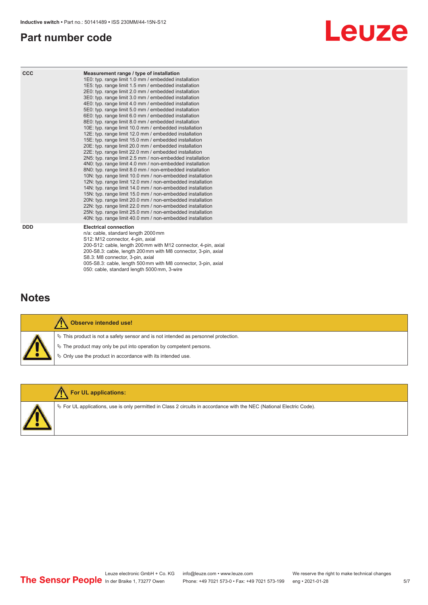#### <span id="page-4-0"></span>**Part number code**



| <b>CCC</b> | Measurement range / type of installation<br>1E0: typ. range limit 1.0 mm / embedded installation<br>1E5: typ. range limit 1.5 mm / embedded installation<br>2E0: typ. range limit 2.0 mm / embedded installation<br>3E0: typ. range limit 3.0 mm / embedded installation<br>4E0: typ. range limit 4.0 mm / embedded installation<br>5E0: typ. range limit 5.0 mm / embedded installation<br>6E0: typ. range limit 6.0 mm / embedded installation<br>8E0: typ. range limit 8.0 mm / embedded installation<br>10E: typ. range limit 10.0 mm / embedded installation<br>12E: typ. range limit 12.0 mm / embedded installation<br>15E: typ. range limit 15.0 mm / embedded installation<br>20E: typ. range limit 20.0 mm / embedded installation<br>22E: typ. range limit 22.0 mm / embedded installation<br>2N5: typ. range limit 2.5 mm / non-embedded installation<br>4N0: typ. range limit 4.0 mm / non-embedded installation<br>8N0: typ. range limit 8.0 mm / non-embedded installation<br>10N: typ. range limit 10.0 mm / non-embedded installation<br>12N: typ. range limit 12.0 mm / non-embedded installation<br>14N: typ. range limit 14.0 mm / non-embedded installation<br>15N: typ. range limit 15.0 mm / non-embedded installation<br>20N: typ. range limit 20.0 mm / non-embedded installation<br>22N: typ. range limit 22.0 mm / non-embedded installation<br>25N: typ. range limit 25.0 mm / non-embedded installation<br>40N: typ. range limit 40.0 mm / non-embedded installation |
|------------|---------------------------------------------------------------------------------------------------------------------------------------------------------------------------------------------------------------------------------------------------------------------------------------------------------------------------------------------------------------------------------------------------------------------------------------------------------------------------------------------------------------------------------------------------------------------------------------------------------------------------------------------------------------------------------------------------------------------------------------------------------------------------------------------------------------------------------------------------------------------------------------------------------------------------------------------------------------------------------------------------------------------------------------------------------------------------------------------------------------------------------------------------------------------------------------------------------------------------------------------------------------------------------------------------------------------------------------------------------------------------------------------------------------------------------------------------------------------------------------------------|
| <b>DDD</b> | <b>Electrical connection</b><br>n/a: cable, standard length 2000 mm<br>S12: M12 connector, 4-pin, axial<br>200-S12: cable, length 200 mm with M12 connector, 4-pin, axial<br>200-S8.3: cable, length 200 mm with M8 connector, 3-pin, axial<br>S8.3: M8 connector, 3-pin, axial                                                                                                                                                                                                                                                                                                                                                                                                                                                                                                                                                                                                                                                                                                                                                                                                                                                                                                                                                                                                                                                                                                                                                                                                                   |

#### **Notes**



#### **Observe intended use!**

 $\%$  This product is not a safety sensor and is not intended as personnel protection.

005-S8.3: cable, length 500 mm with M8 connector, 3-pin, axial

 $\%$  The product may only be put into operation by competent persons.

050: cable, standard length 5000 mm, 3-wire

 $\%$  Only use the product in accordance with its intended use.



#### **For UL applications:**

 $\%$  For UL applications, use is only permitted in Class 2 circuits in accordance with the NEC (National Electric Code).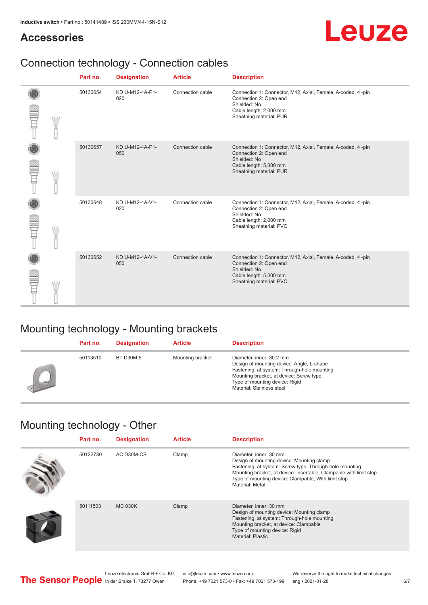#### **Accessories**

# Leuze

## Connection technology - Connection cables

|  | Part no. | <b>Designation</b>     | <b>Article</b>   | <b>Description</b>                                                                                                                                         |
|--|----------|------------------------|------------------|------------------------------------------------------------------------------------------------------------------------------------------------------------|
|  | 50130654 | KD U-M12-4A-P1-<br>020 | Connection cable | Connection 1: Connector, M12, Axial, Female, A-coded, 4-pin<br>Connection 2: Open end<br>Shielded: No<br>Cable length: 2,000 mm<br>Sheathing material: PUR |
|  | 50130657 | KD U-M12-4A-P1-<br>050 | Connection cable | Connection 1: Connector, M12, Axial, Female, A-coded, 4-pin<br>Connection 2: Open end<br>Shielded: No<br>Cable length: 5,000 mm<br>Sheathing material: PUR |
|  | 50130648 | KD U-M12-4A-V1-<br>020 | Connection cable | Connection 1: Connector, M12, Axial, Female, A-coded, 4-pin<br>Connection 2: Open end<br>Shielded: No<br>Cable length: 2,000 mm<br>Sheathing material: PVC |
|  | 50130652 | KD U-M12-4A-V1-<br>050 | Connection cable | Connection 1: Connector, M12, Axial, Female, A-coded, 4-pin<br>Connection 2: Open end<br>Shielded: No<br>Cable length: 5,000 mm<br>Sheathing material: PVC |

## Mounting technology - Mounting brackets

|    | Part no. | <b>Designation</b> | <b>Article</b>   | <b>Description</b>                                                                                                                                                                                                             |
|----|----------|--------------------|------------------|--------------------------------------------------------------------------------------------------------------------------------------------------------------------------------------------------------------------------------|
| يس | 50113510 | <b>BT D30M.5</b>   | Mounting bracket | Diameter, inner: 30.2 mm<br>Design of mounting device: Angle, L-shape<br>Fastening, at system: Through-hole mounting<br>Mounting bracket, at device: Screw type<br>Type of mounting device: Rigid<br>Material: Stainless steel |

### Mounting technology - Other

| Part no. | <b>Designation</b> | <b>Article</b> | <b>Description</b>                                                                                                                                                                                                                                                             |
|----------|--------------------|----------------|--------------------------------------------------------------------------------------------------------------------------------------------------------------------------------------------------------------------------------------------------------------------------------|
| 50132730 | AC D30M-CS         | Clamp          | Diameter, inner: 30 mm<br>Design of mounting device: Mounting clamp<br>Fastening, at system: Screw type, Through-hole mounting<br>Mounting bracket, at device: insertable, Clampable with limit stop<br>Type of mounting device: Clampable, With limit stop<br>Material: Metal |
| 50111503 | <b>MC 030K</b>     | Clamp          | Diameter, inner: 30 mm<br>Design of mounting device: Mounting clamp<br>Fastening, at system: Through-hole mounting<br>Mounting bracket, at device: Clampable<br>Type of mounting device: Rigid<br>Material: Plastic                                                            |